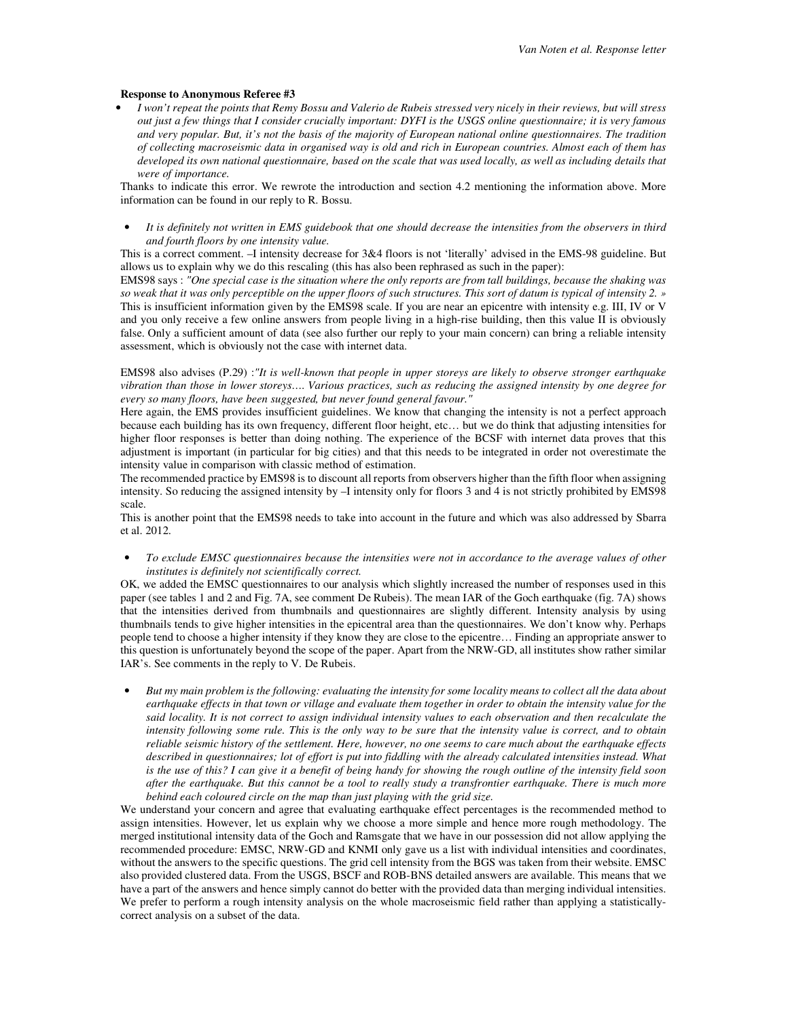## **Response to Anonymous Referee #3**

• *I won't repeat the points that Remy Bossu and Valerio de Rubeis stressed very nicely in their reviews, but will stress out just a few things that I consider crucially important: DYFI is the USGS online questionnaire; it is very famous and very popular. But, it's not the basis of the majority of European national online questionnaires. The tradition of collecting macroseismic data in organised way is old and rich in European countries. Almost each of them has developed its own national questionnaire, based on the scale that was used locally, as well as including details that were of importance.* 

Thanks to indicate this error. We rewrote the introduction and section 4.2 mentioning the information above. More information can be found in our reply to R. Bossu.

• *It is definitely not written in EMS guidebook that one should decrease the intensities from the observers in third and fourth floors by one intensity value.* 

This is a correct comment. –I intensity decrease for 3&4 floors is not 'literally' advised in the EMS-98 guideline. But allows us to explain why we do this rescaling (this has also been rephrased as such in the paper):

EMS98 says : *"One special case is the situation where the only reports are from tall buildings, because the shaking was so weak that it was only perceptible on the upper floors of such structures. This sort of datum is typical of intensity 2. »*  This is insufficient information given by the EMS98 scale. If you are near an epicentre with intensity e.g. III, IV or V and you only receive a few online answers from people living in a high-rise building, then this value II is obviously false. Only a sufficient amount of data (see also further our reply to your main concern) can bring a reliable intensity assessment, which is obviously not the case with internet data.

EMS98 also advises (P.29) :*"It is well-known that people in upper storeys are likely to observe stronger earthquake vibration than those in lower storeys…. Various practices, such as reducing the assigned intensity by one degree for every so many floors, have been suggested, but never found general favour."*

Here again, the EMS provides insufficient guidelines. We know that changing the intensity is not a perfect approach because each building has its own frequency, different floor height, etc… but we do think that adjusting intensities for higher floor responses is better than doing nothing. The experience of the BCSF with internet data proves that this adjustment is important (in particular for big cities) and that this needs to be integrated in order not overestimate the intensity value in comparison with classic method of estimation.

The recommended practice by EMS98 is to discount all reports from observers higher than the fifth floor when assigning intensity. So reducing the assigned intensity by –I intensity only for floors 3 and 4 is not strictly prohibited by EMS98 scale.

This is another point that the EMS98 needs to take into account in the future and which was also addressed by Sbarra et al. 2012.

• *To exclude EMSC questionnaires because the intensities were not in accordance to the average values of other institutes is definitely not scientifically correct.* 

OK, we added the EMSC questionnaires to our analysis which slightly increased the number of responses used in this paper (see tables 1 and 2 and Fig. 7A, see comment De Rubeis). The mean IAR of the Goch earthquake (fig. 7A) shows that the intensities derived from thumbnails and questionnaires are slightly different. Intensity analysis by using thumbnails tends to give higher intensities in the epicentral area than the questionnaires. We don't know why. Perhaps people tend to choose a higher intensity if they know they are close to the epicentre… Finding an appropriate answer to this question is unfortunately beyond the scope of the paper. Apart from the NRW-GD, all institutes show rather similar IAR's. See comments in the reply to V. De Rubeis.

• *But my main problem is the following: evaluating the intensity for some locality means to collect all the data about earthquake effects in that town or village and evaluate them together in order to obtain the intensity value for the said locality. It is not correct to assign individual intensity values to each observation and then recalculate the intensity following some rule. This is the only way to be sure that the intensity value is correct, and to obtain reliable seismic history of the settlement. Here, however, no one seems to care much about the earthquake effects described in questionnaires; lot of effort is put into fiddling with the already calculated intensities instead. What is the use of this? I can give it a benefit of being handy for showing the rough outline of the intensity field soon after the earthquake. But this cannot be a tool to really study a transfrontier earthquake. There is much more behind each coloured circle on the map than just playing with the grid size.* 

We understand your concern and agree that evaluating earthquake effect percentages is the recommended method to assign intensities. However, let us explain why we choose a more simple and hence more rough methodology. The merged institutional intensity data of the Goch and Ramsgate that we have in our possession did not allow applying the recommended procedure: EMSC, NRW-GD and KNMI only gave us a list with individual intensities and coordinates, without the answers to the specific questions. The grid cell intensity from the BGS was taken from their website. EMSC also provided clustered data. From the USGS, BSCF and ROB-BNS detailed answers are available. This means that we have a part of the answers and hence simply cannot do better with the provided data than merging individual intensities. We prefer to perform a rough intensity analysis on the whole macroseismic field rather than applying a statisticallycorrect analysis on a subset of the data.